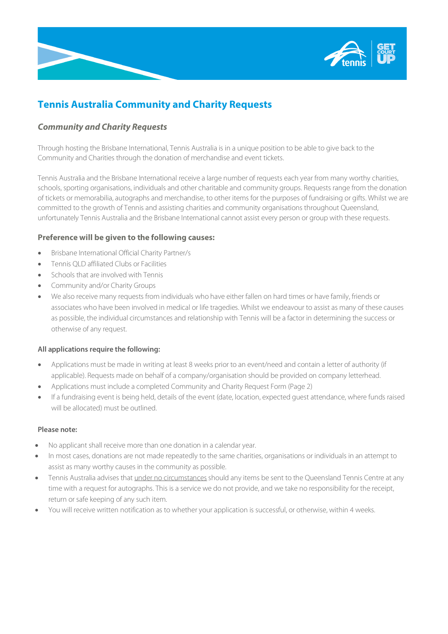

# **Tennis Australia Community and Charity Requests**

## *Community and Charity Requests*

Through hosting the Brisbane International, Tennis Australia is in a unique position to be able to give back to the Community and Charities through the donation of merchandise and event tickets.

Tennis Australia and the Brisbane International receive a large number of requests each year from many worthy charities, schools, sporting organisations, individuals and other charitable and community groups. Requests range from the donation of tickets or memorabilia, autographs and merchandise, to other items for the purposes of fundraising or gifts. Whilst we are committed to the growth of Tennis and assisting charities and community organisations throughout Queensland, unfortunately Tennis Australia and the Brisbane International cannot assist every person or group with these requests.

### **Preference will be given to the following causes:**

- Brisbane International Official Charity Partner/s
- Tennis QLD affiliated Clubs or Facilities
- Schools that are involved with Tennis
- Community and/or Charity Groups
- We also receive many requests from individuals who have either fallen on hard times or have family, friends or associates who have been involved in medical or life tragedies. Whilst we endeavour to assist as many of these causes as possible, the individual circumstances and relationship with Tennis will be a factor in determining the success or otherwise of any request.

#### **All applications require the following:**

- Applications must be made in writing at least 8 weeks prior to an event/need and contain a letter of authority (if applicable). Requests made on behalf of a company/organisation should be provided on company letterhead.
- Applications must include a completed Community and Charity Request Form (Page 2)
- If a fundraising event is being held, details of the event (date, location, expected guest attendance, where funds raised will be allocated) must be outlined.

#### **Please note:**

- No applicant shall receive more than one donation in a calendar year.
- In most cases, donations are not made repeatedly to the same charities, organisations or individuals in an attempt to assist as many worthy causes in the community as possible.
- Tennis Australia advises that under no circumstances should any items be sent to the Queensland Tennis Centre at any time with a request for autographs. This is a service we do not provide, and we take no responsibility for the receipt, return or safe keeping of any such item.
- You will receive written notification as to whether your application is successful, or otherwise, within 4 weeks.